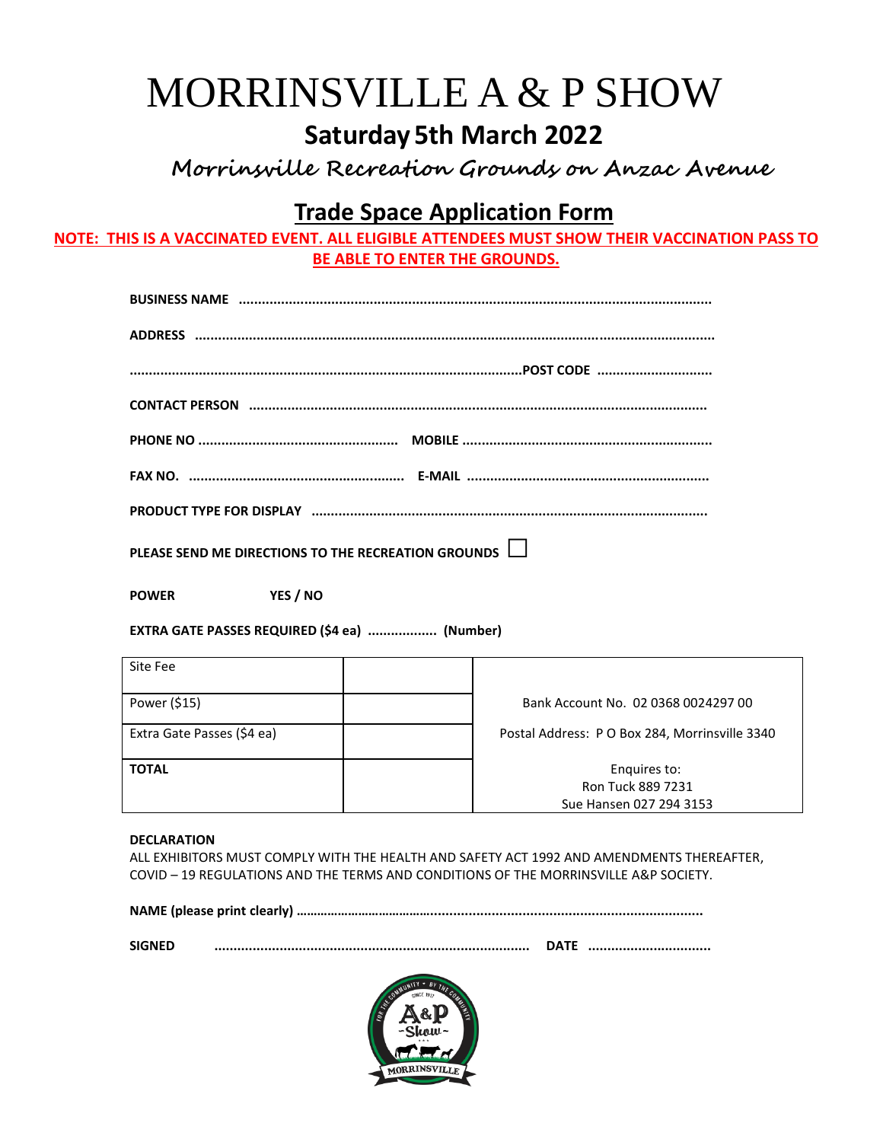# MORRINSVILLE A & P SHOW **Saturday5th March 2022**

 **Morrinsville Recreation Grounds on Anzac Avenue**

# **Trade Space Application Form**

**NOTE: THIS IS A VACCINATED EVENT. ALL ELIGIBLE ATTENDEES MUST SHOW THEIR VACCINATION PASS TO BE ABLE TO ENTER THE GROUNDS.**

| PLEASE SEND ME DIRECTIONS TO THE RECREATION GROUNDS $\Box$ |
|------------------------------------------------------------|

**POWER YES / NO**

**EXTRA GATE PASSES REQUIRED (\$4 ea) .................. (Number)**

| Site Fee                   |                                                              |
|----------------------------|--------------------------------------------------------------|
| Power (\$15)               | Bank Account No. 02 0368 0024297 00                          |
| Extra Gate Passes (\$4 ea) | Postal Address: P O Box 284, Morrinsville 3340               |
| <b>TOTAL</b>               | Enquires to:<br>Ron Tuck 889 7231<br>Sue Hansen 027 294 3153 |

#### **DECLARATION**

ALL EXHIBITORS MUST COMPLY WITH THE HEALTH AND SAFETY ACT 1992 AND AMENDMENTS THEREAFTER, COVID – 19 REGULATIONS AND THE TERMS AND CONDITIONS OF THE MORRINSVILLE A&P SOCIETY.

|--|--|

| <b>SIGNED</b> | דµט |  |
|---------------|-----|--|